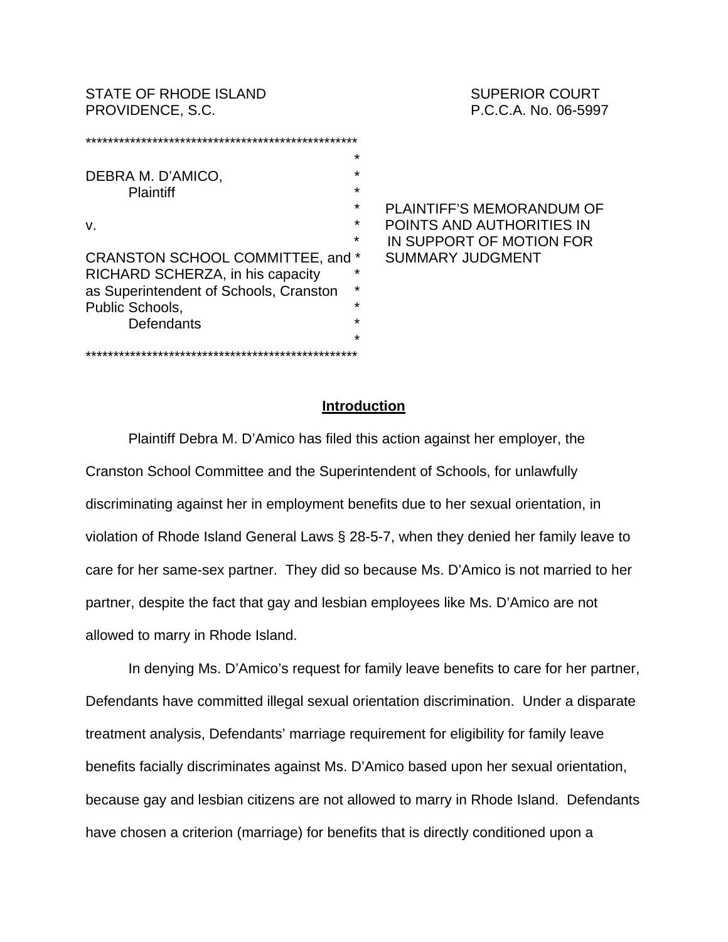STATE OF RHODE ISLAND STATE SUPERIOR COURT PROVIDENCE, S.C. **PROVIDENCE, S.C.** P.C.C.A. No. 06-5997

\*\*\*\*\*\*\*\*\*\*\*\*\*\*\*\*\*\*\*\*\*\*\*\*\*\*\*\*\*\*\*\*\*\*\*\*\*\*\*\*\*\*\*\*\*\*\*\*\* \* DEBRA M. D'AMICO, **Plaintiff**  \* PLAINTIFF'S MEMORANDUM OF v. \* POINTS AND AUTHORITIES IN IN SUPPORT OF MOTION FOR CRANSTON SCHOOL COMMITTEE, and \* SUMMARY JUDGMENT RICHARD SCHERZA, in his capacity \* as Superintendent of Schools, Cranston \* Public Schools, Defendants \* \*\*\*\*\*\*\*\*\*\*\*\*\*\*\*\*\*\*\*\*\*\*\*\*\*\*\*\*\*\*\*\*\*\*\*\*\*\*\*\*\*\*\*\*\*\*\*\*\*

#### **Introduction**

Plaintiff Debra M. D'Amico has filed this action against her employer, the Cranston School Committee and the Superintendent of Schools, for unlawfully discriminating against her in employment benefits due to her sexual orientation, in violation of Rhode Island General Laws § 28-5-7, when they denied her family leave to care for her same-sex partner. They did so because Ms. D'Amico is not married to her partner, despite the fact that gay and lesbian employees like Ms. D'Amico are not allowed to marry in Rhode Island.

In denying Ms. D'Amico's request for family leave benefits to care for her partner, Defendants have committed illegal sexual orientation discrimination. Under a disparate treatment analysis, Defendants' marriage requirement for eligibility for family leave benefits facially discriminates against Ms. D'Amico based upon her sexual orientation, because gay and lesbian citizens are not allowed to marry in Rhode Island. Defendants have chosen a criterion (marriage) for benefits that is directly conditioned upon a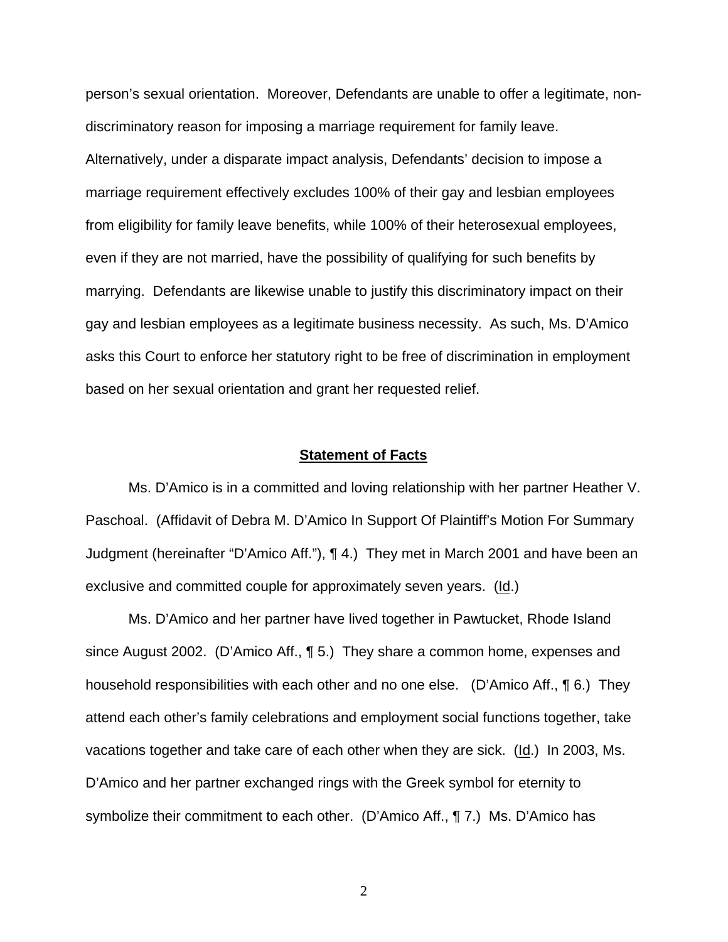person's sexual orientation. Moreover, Defendants are unable to offer a legitimate, nondiscriminatory reason for imposing a marriage requirement for family leave. Alternatively, under a disparate impact analysis, Defendants' decision to impose a marriage requirement effectively excludes 100% of their gay and lesbian employees from eligibility for family leave benefits, while 100% of their heterosexual employees, even if they are not married, have the possibility of qualifying for such benefits by marrying. Defendants are likewise unable to justify this discriminatory impact on their gay and lesbian employees as a legitimate business necessity. As such, Ms. D'Amico asks this Court to enforce her statutory right to be free of discrimination in employment based on her sexual orientation and grant her requested relief.

#### **Statement of Facts**

Ms. D'Amico is in a committed and loving relationship with her partner Heather V. Paschoal. (Affidavit of Debra M. D'Amico In Support Of Plaintiff's Motion For Summary Judgment (hereinafter "D'Amico Aff."), ¶ 4.) They met in March 2001 and have been an exclusive and committed couple for approximately seven years. (Id.)

Ms. D'Amico and her partner have lived together in Pawtucket, Rhode Island since August 2002. (D'Amico Aff., ¶ 5.) They share a common home, expenses and household responsibilities with each other and no one else. (D'Amico Aff., ¶ 6.) They attend each other's family celebrations and employment social functions together, take vacations together and take care of each other when they are sick. (Id.) In 2003, Ms. D'Amico and her partner exchanged rings with the Greek symbol for eternity to symbolize their commitment to each other. (D'Amico Aff., ¶ 7.) Ms. D'Amico has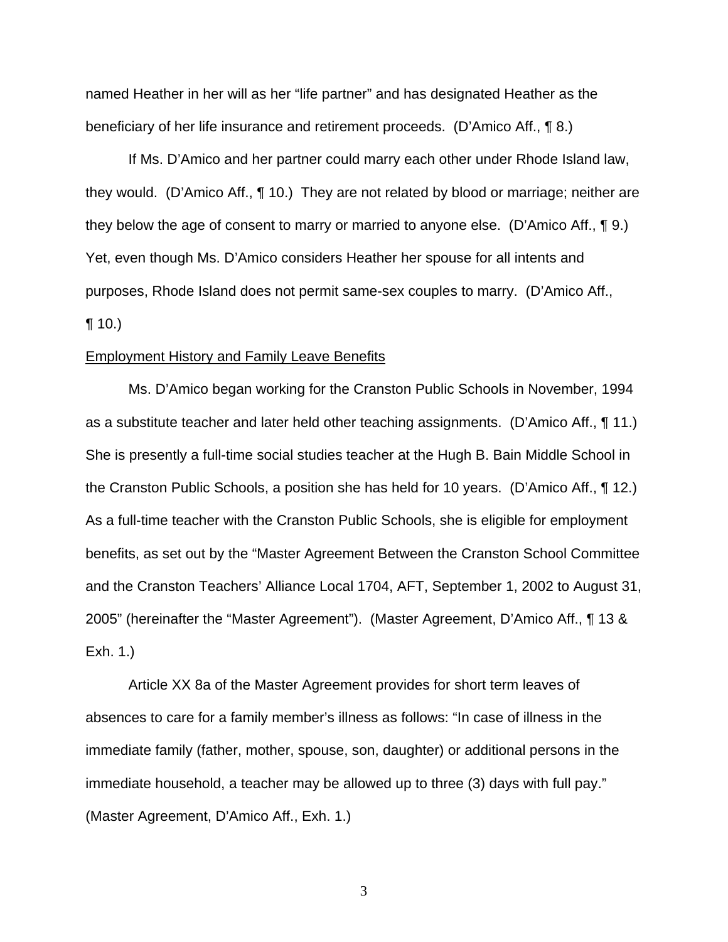named Heather in her will as her "life partner" and has designated Heather as the beneficiary of her life insurance and retirement proceeds. (D'Amico Aff., ¶ 8.)

If Ms. D'Amico and her partner could marry each other under Rhode Island law, they would. (D'Amico Aff., ¶ 10.) They are not related by blood or marriage; neither are they below the age of consent to marry or married to anyone else. (D'Amico Aff., ¶ 9.) Yet, even though Ms. D'Amico considers Heather her spouse for all intents and purposes, Rhode Island does not permit same-sex couples to marry. (D'Amico Aff.,  $\P(10.)$ 

#### Employment History and Family Leave Benefits

Ms. D'Amico began working for the Cranston Public Schools in November, 1994 as a substitute teacher and later held other teaching assignments. (D'Amico Aff., ¶ 11.) She is presently a full-time social studies teacher at the Hugh B. Bain Middle School in the Cranston Public Schools, a position she has held for 10 years. (D'Amico Aff., ¶ 12.) As a full-time teacher with the Cranston Public Schools, she is eligible for employment benefits, as set out by the "Master Agreement Between the Cranston School Committee and the Cranston Teachers' Alliance Local 1704, AFT, September 1, 2002 to August 31, 2005" (hereinafter the "Master Agreement"). (Master Agreement, D'Amico Aff., ¶ 13 & Exh. 1.)

Article XX 8a of the Master Agreement provides for short term leaves of absences to care for a family member's illness as follows: "In case of illness in the immediate family (father, mother, spouse, son, daughter) or additional persons in the immediate household, a teacher may be allowed up to three (3) days with full pay." (Master Agreement, D'Amico Aff., Exh. 1.)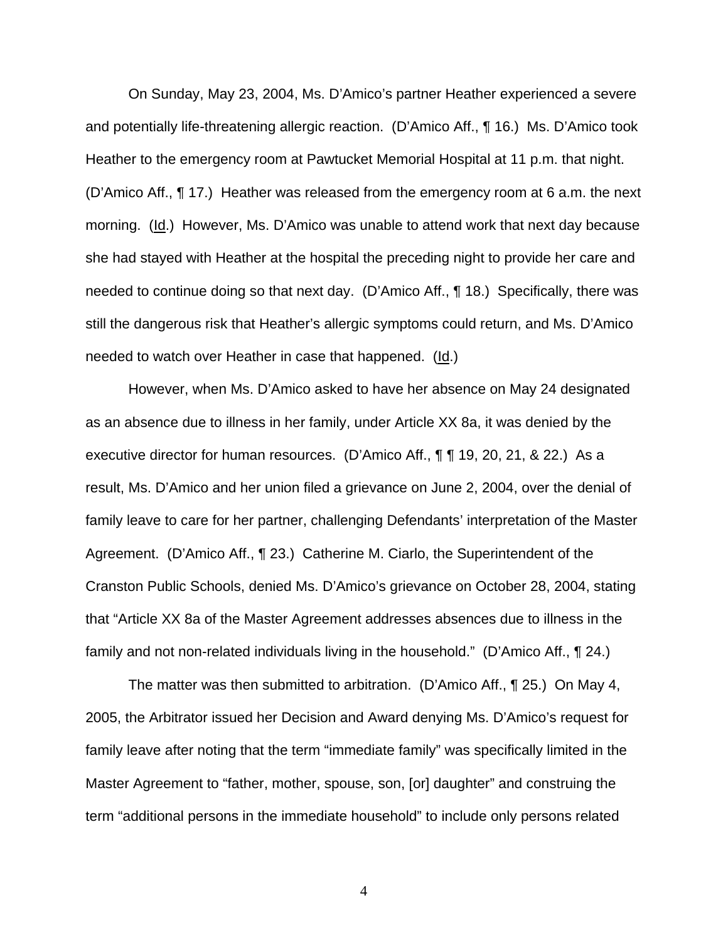On Sunday, May 23, 2004, Ms. D'Amico's partner Heather experienced a severe and potentially life-threatening allergic reaction. (D'Amico Aff., ¶ 16.) Ms. D'Amico took Heather to the emergency room at Pawtucket Memorial Hospital at 11 p.m. that night. (D'Amico Aff., ¶ 17.) Heather was released from the emergency room at 6 a.m. the next morning. (Id.) However, Ms. D'Amico was unable to attend work that next day because she had stayed with Heather at the hospital the preceding night to provide her care and needed to continue doing so that next day. (D'Amico Aff., ¶ 18.) Specifically, there was still the dangerous risk that Heather's allergic symptoms could return, and Ms. D'Amico needed to watch over Heather in case that happened. (Id.)

However, when Ms. D'Amico asked to have her absence on May 24 designated as an absence due to illness in her family, under Article XX 8a, it was denied by the executive director for human resources. (D'Amico Aff., ¶ ¶ 19, 20, 21, & 22.) As a result, Ms. D'Amico and her union filed a grievance on June 2, 2004, over the denial of family leave to care for her partner, challenging Defendants' interpretation of the Master Agreement. (D'Amico Aff., ¶ 23.) Catherine M. Ciarlo, the Superintendent of the Cranston Public Schools, denied Ms. D'Amico's grievance on October 28, 2004, stating that "Article XX 8a of the Master Agreement addresses absences due to illness in the family and not non-related individuals living in the household." (D'Amico Aff., ¶ 24.)

The matter was then submitted to arbitration. (D'Amico Aff., ¶ 25.) On May 4, 2005, the Arbitrator issued her Decision and Award denying Ms. D'Amico's request for family leave after noting that the term "immediate family" was specifically limited in the Master Agreement to "father, mother, spouse, son, [or] daughter" and construing the term "additional persons in the immediate household" to include only persons related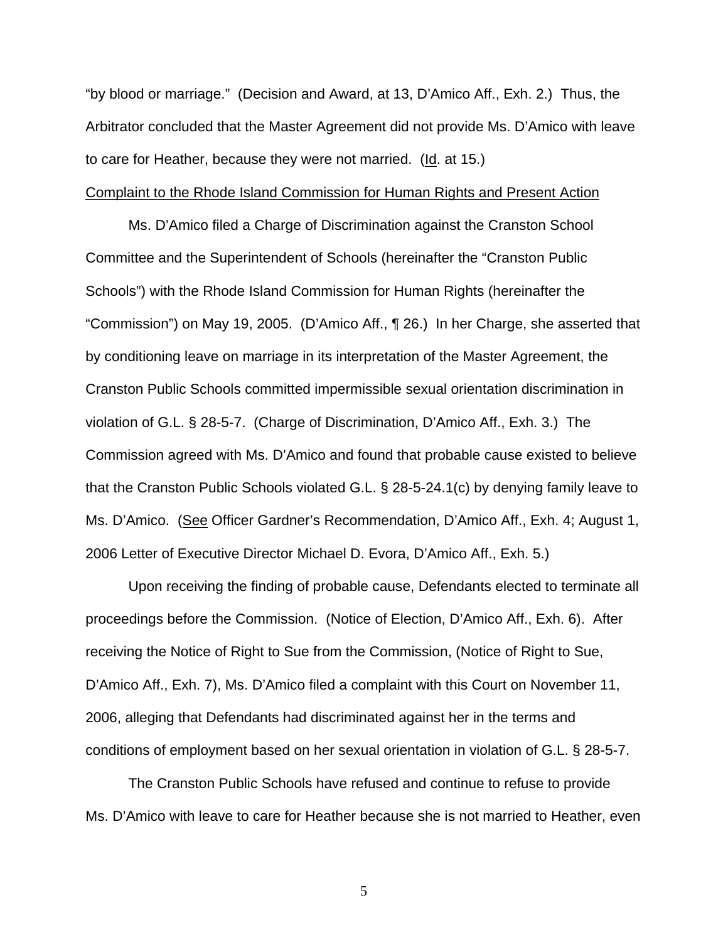"by blood or marriage." (Decision and Award, at 13, D'Amico Aff., Exh. 2.) Thus, the Arbitrator concluded that the Master Agreement did not provide Ms. D'Amico with leave to care for Heather, because they were not married. (Id. at 15.)

#### Complaint to the Rhode Island Commission for Human Rights and Present Action

Ms. D'Amico filed a Charge of Discrimination against the Cranston School Committee and the Superintendent of Schools (hereinafter the "Cranston Public Schools") with the Rhode Island Commission for Human Rights (hereinafter the "Commission") on May 19, 2005. (D'Amico Aff., ¶ 26.) In her Charge, she asserted that by conditioning leave on marriage in its interpretation of the Master Agreement, the Cranston Public Schools committed impermissible sexual orientation discrimination in violation of G.L. § 28-5-7. (Charge of Discrimination, D'Amico Aff., Exh. 3.) The Commission agreed with Ms. D'Amico and found that probable cause existed to believe that the Cranston Public Schools violated G.L. § 28-5-24.1(c) by denying family leave to Ms. D'Amico. (See Officer Gardner's Recommendation, D'Amico Aff., Exh. 4; August 1, 2006 Letter of Executive Director Michael D. Evora, D'Amico Aff., Exh. 5.)

Upon receiving the finding of probable cause, Defendants elected to terminate all proceedings before the Commission. (Notice of Election, D'Amico Aff., Exh. 6). After receiving the Notice of Right to Sue from the Commission, (Notice of Right to Sue, D'Amico Aff., Exh. 7), Ms. D'Amico filed a complaint with this Court on November 11, 2006, alleging that Defendants had discriminated against her in the terms and conditions of employment based on her sexual orientation in violation of G.L. § 28-5-7.

The Cranston Public Schools have refused and continue to refuse to provide Ms. D'Amico with leave to care for Heather because she is not married to Heather, even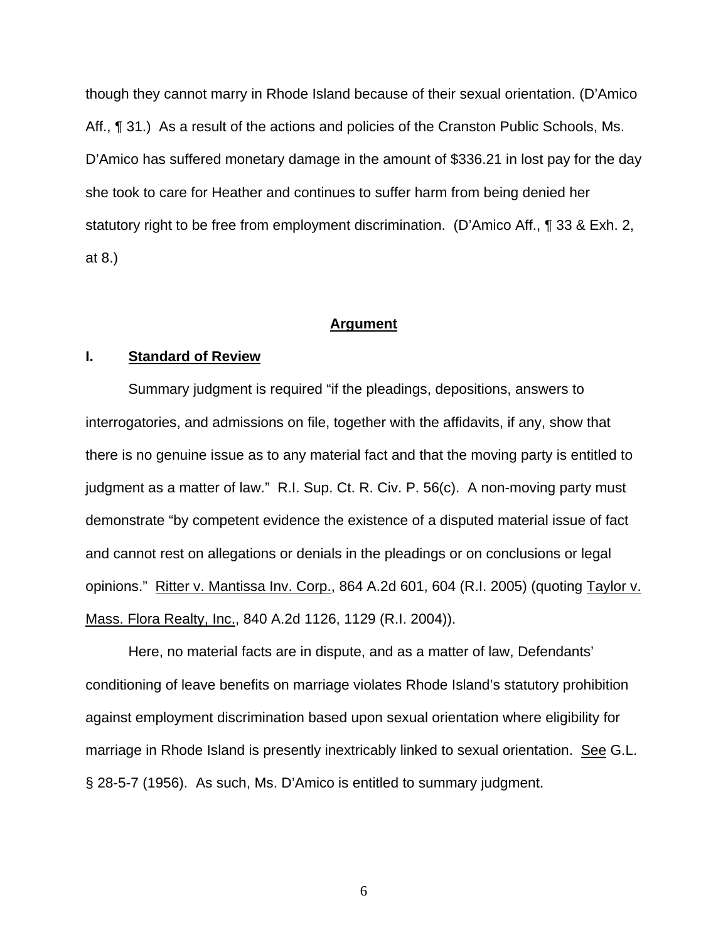though they cannot marry in Rhode Island because of their sexual orientation. (D'Amico Aff., ¶ 31.) As a result of the actions and policies of the Cranston Public Schools, Ms. D'Amico has suffered monetary damage in the amount of \$336.21 in lost pay for the day she took to care for Heather and continues to suffer harm from being denied her statutory right to be free from employment discrimination. (D'Amico Aff., ¶ 33 & Exh. 2, at 8.)

### **Argument**

#### **I. Standard of Review**

Summary judgment is required "if the pleadings, depositions, answers to interrogatories, and admissions on file, together with the affidavits, if any, show that there is no genuine issue as to any material fact and that the moving party is entitled to judgment as a matter of law." R.I. Sup. Ct. R. Civ. P. 56(c). A non-moving party must demonstrate "by competent evidence the existence of a disputed material issue of fact and cannot rest on allegations or denials in the pleadings or on conclusions or legal opinions." Ritter v. Mantissa Inv. Corp., 864 A.2d 601, 604 (R.I. 2005) (quoting Taylor v. Mass. Flora Realty, Inc., 840 A.2d 1126, 1129 (R.I. 2004)).

Here, no material facts are in dispute, and as a matter of law, Defendants' conditioning of leave benefits on marriage violates Rhode Island's statutory prohibition against employment discrimination based upon sexual orientation where eligibility for marriage in Rhode Island is presently inextricably linked to sexual orientation. See G.L. § 28-5-7 (1956). As such, Ms. D'Amico is entitled to summary judgment.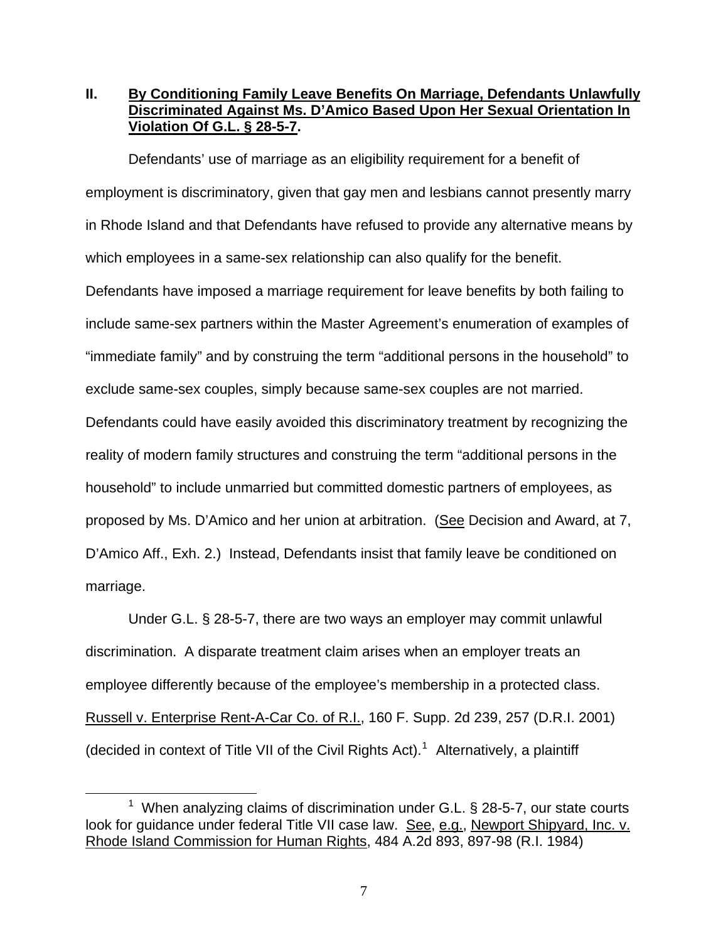## **II. By Conditioning Family Leave Benefits On Marriage, Defendants Unlawfully Discriminated Against Ms. D'Amico Based Upon Her Sexual Orientation In Violation Of G.L. § 28-5-7.**

Defendants' use of marriage as an eligibility requirement for a benefit of employment is discriminatory, given that gay men and lesbians cannot presently marry in Rhode Island and that Defendants have refused to provide any alternative means by which employees in a same-sex relationship can also qualify for the benefit. Defendants have imposed a marriage requirement for leave benefits by both failing to include same-sex partners within the Master Agreement's enumeration of examples of "immediate family" and by construing the term "additional persons in the household" to exclude same-sex couples, simply because same-sex couples are not married. Defendants could have easily avoided this discriminatory treatment by recognizing the reality of modern family structures and construing the term "additional persons in the household" to include unmarried but committed domestic partners of employees, as proposed by Ms. D'Amico and her union at arbitration. (See Decision and Award, at 7, D'Amico Aff., Exh. 2.) Instead, Defendants insist that family leave be conditioned on marriage.

Under G.L. § 28-5-7, there are two ways an employer may commit unlawful discrimination. A disparate treatment claim arises when an employer treats an employee differently because of the employee's membership in a protected class. Russell v. Enterprise Rent-A-Car Co. of R.I., 160 F. Supp. 2d 239, 257 (D.R.I. 2001) (decided in context of Title VII of the Civil Rights Act).<sup>[1](#page-6-0)</sup> Alternatively, a plaintiff

<span id="page-6-0"></span><sup>1</sup>  $1$  When analyzing claims of discrimination under G.L. § 28-5-7, our state courts look for quidance under federal Title VII case law. See, e.g., Newport Shipyard, Inc. v. Rhode Island Commission for Human Rights, 484 A.2d 893, 897-98 (R.I. 1984)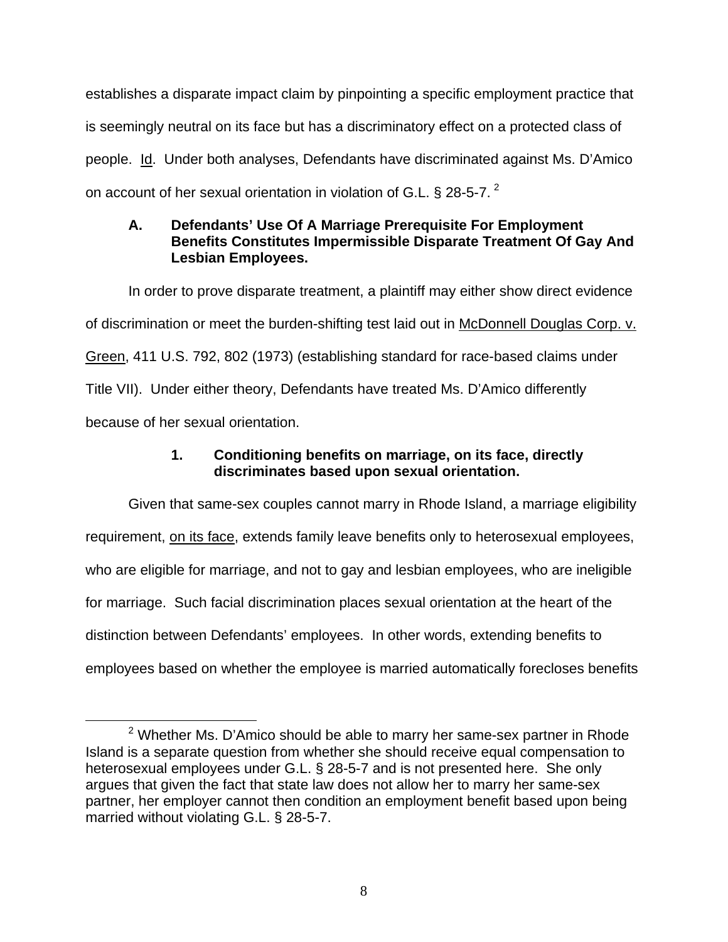establishes a disparate impact claim by pinpointing a specific employment practice that is seemingly neutral on its face but has a discriminatory effect on a protected class of people. Id. Under both analyses, Defendants have discriminated against Ms. D'Amico on account of her sexual orientation in violation of G.L. § [2](#page-7-0)8-5-7.  $^2$ 

# **A. Defendants' Use Of A Marriage Prerequisite For Employment Benefits Constitutes Impermissible Disparate Treatment Of Gay And Lesbian Employees.**

In order to prove disparate treatment, a plaintiff may either show direct evidence of discrimination or meet the burden-shifting test laid out in McDonnell Douglas Corp. v. Green, 411 U.S. 792, 802 (1973) (establishing standard for race-based claims under Title VII). Under either theory, Defendants have treated Ms. D'Amico differently because of her sexual orientation.

# **1. Conditioning benefits on marriage, on its face, directly discriminates based upon sexual orientation.**

Given that same-sex couples cannot marry in Rhode Island, a marriage eligibility requirement, on its face, extends family leave benefits only to heterosexual employees, who are eligible for marriage, and not to gay and lesbian employees, who are ineligible for marriage. Such facial discrimination places sexual orientation at the heart of the distinction between Defendants' employees. In other words, extending benefits to employees based on whether the employee is married automatically forecloses benefits

<span id="page-7-0"></span> $\frac{1}{2}$  $2$  Whether Ms. D'Amico should be able to marry her same-sex partner in Rhode Island is a separate question from whether she should receive equal compensation to heterosexual employees under G.L. § 28-5-7 and is not presented here. She only argues that given the fact that state law does not allow her to marry her same-sex partner, her employer cannot then condition an employment benefit based upon being married without violating G.L. § 28-5-7.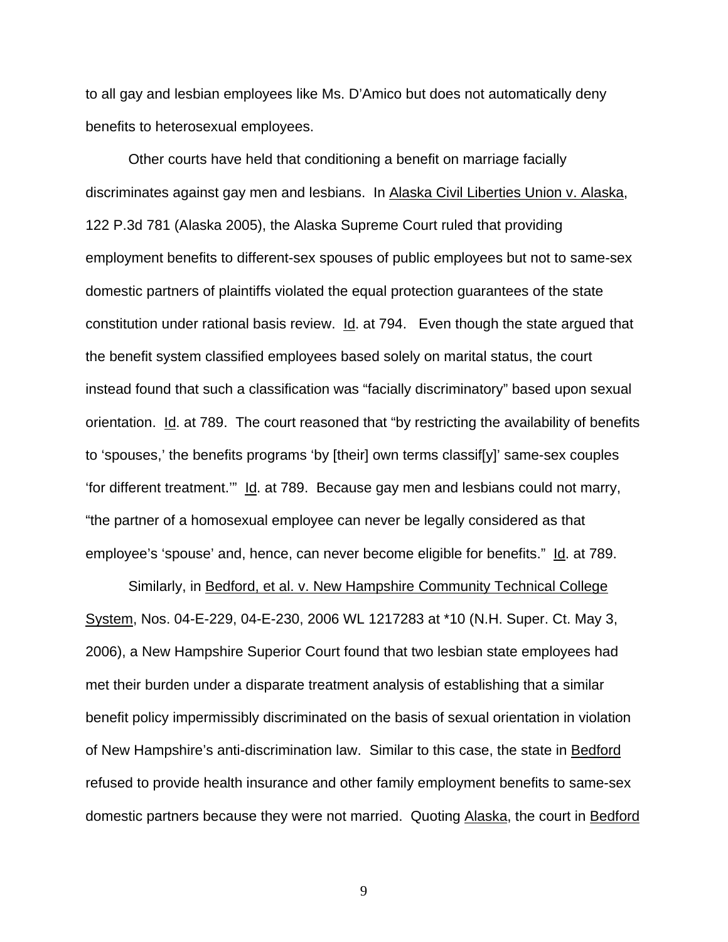to all gay and lesbian employees like Ms. D'Amico but does not automatically deny benefits to heterosexual employees.

Other courts have held that conditioning a benefit on marriage facially discriminates against gay men and lesbians. In Alaska Civil Liberties Union v. Alaska, 122 P.3d 781 (Alaska 2005), the Alaska Supreme Court ruled that providing employment benefits to different-sex spouses of public employees but not to same-sex domestic partners of plaintiffs violated the equal protection guarantees of the state constitution under rational basis review. Id. at 794. Even though the state argued that the benefit system classified employees based solely on marital status, the court instead found that such a classification was "facially discriminatory" based upon sexual orientation. Id. at 789. The court reasoned that "by restricting the availability of benefits to 'spouses,' the benefits programs 'by [their] own terms classif[y]' same-sex couples 'for different treatment.'" Id. at 789. Because gay men and lesbians could not marry, "the partner of a homosexual employee can never be legally considered as that employee's 'spouse' and, hence, can never become eligible for benefits." Id. at 789.

Similarly, in Bedford, et al. v. New Hampshire Community Technical College System, Nos. 04-E-229, 04-E-230, 2006 WL 1217283 at \*10 (N.H. Super. Ct. May 3, 2006), a New Hampshire Superior Court found that two lesbian state employees had met their burden under a disparate treatment analysis of establishing that a similar benefit policy impermissibly discriminated on the basis of sexual orientation in violation of New Hampshire's anti-discrimination law. Similar to this case, the state in Bedford refused to provide health insurance and other family employment benefits to same-sex domestic partners because they were not married. Quoting Alaska, the court in Bedford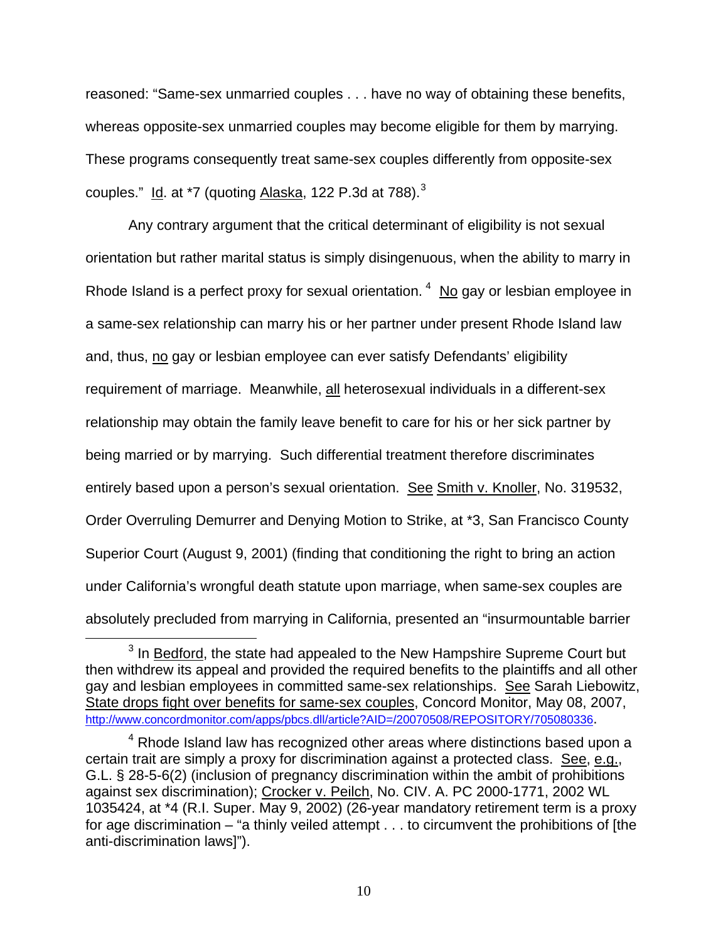reasoned: "Same-sex unmarried couples . . . have no way of obtaining these benefits, whereas opposite-sex unmarried couples may become eligible for them by marrying. These programs consequently treat same-sex couples differently from opposite-sex couples."  $Id.$  at \*7 (quoting Alaska, 122 P.[3](#page-9-0)d at 788). $3$ 

Any contrary argument that the critical determinant of eligibility is not sexual orientation but rather marital status is simply disingenuous, when the ability to marry in Rhode Island is a perfect proxy for sexual orientation.  $4 \overline{N}$  $4 \overline{N}$  gay or lesbian employee in a same-sex relationship can marry his or her partner under present Rhode Island law and, thus, no gay or lesbian employee can ever satisfy Defendants' eligibility requirement of marriage. Meanwhile, all heterosexual individuals in a different-sex relationship may obtain the family leave benefit to care for his or her sick partner by being married or by marrying. Such differential treatment therefore discriminates entirely based upon a person's sexual orientation. See Smith v. Knoller, No. 319532, Order Overruling Demurrer and Denying Motion to Strike, at \*3, San Francisco County Superior Court (August 9, 2001) (finding that conditioning the right to bring an action under California's wrongful death statute upon marriage, when same-sex couples are absolutely precluded from marrying in California, presented an "insurmountable barrier

<span id="page-9-0"></span><sup>3</sup>  $3$  In Bedford, the state had appealed to the New Hampshire Supreme Court but then withdrew its appeal and provided the required benefits to the plaintiffs and all other gay and lesbian employees in committed same-sex relationships. See Sarah Liebowitz, State drops fight over benefits for same-sex couples, Concord Monitor, May 08, 2007, <http://www.concordmonitor.com/apps/pbcs.dll/article?AID=/20070508/REPOSITORY/705080336>.

<span id="page-9-1"></span> $4$  Rhode Island law has recognized other areas where distinctions based upon a certain trait are simply a proxy for discrimination against a protected class. See, e.g., G.L. § 28-5-6(2) (inclusion of pregnancy discrimination within the ambit of prohibitions against sex discrimination); Crocker v. Peilch, No. CIV. A. PC 2000-1771, 2002 WL 1035424, at \*4 (R.I. Super. May 9, 2002) (26-year mandatory retirement term is a proxy for age discrimination – "a thinly veiled attempt . . . to circumvent the prohibitions of [the anti-discrimination laws]").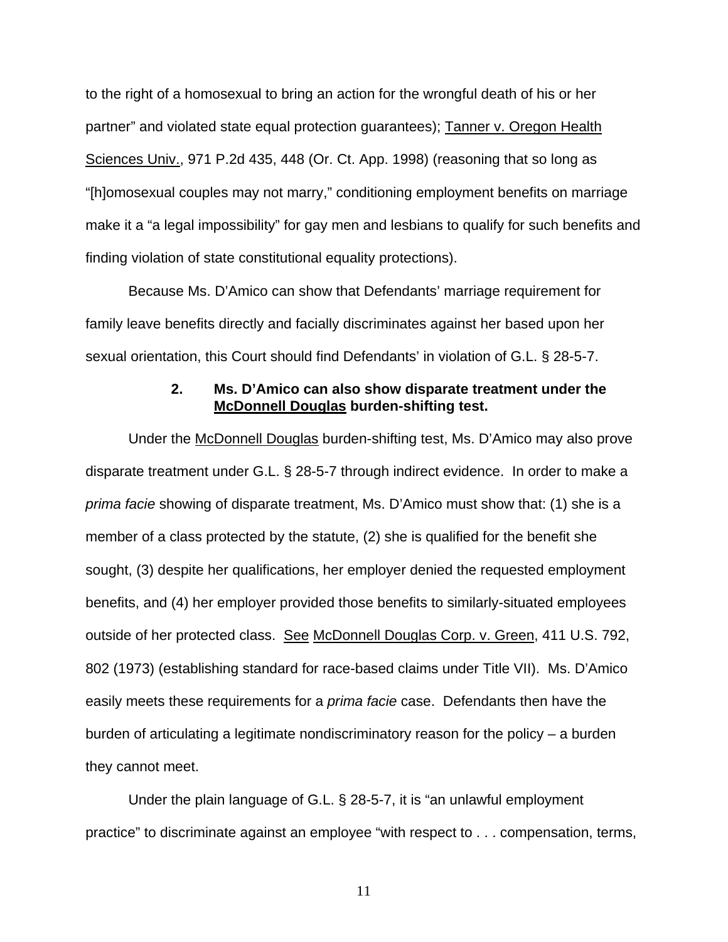to the right of a homosexual to bring an action for the wrongful death of his or her partner" and violated state equal protection guarantees); Tanner v. Oregon Health Sciences Univ., 971 P.2d 435, 448 (Or. Ct. App. 1998) (reasoning that so long as "[h]omosexual couples may not marry," conditioning employment benefits on marriage make it a "a legal impossibility" for gay men and lesbians to qualify for such benefits and finding violation of state constitutional equality protections).

Because Ms. D'Amico can show that Defendants' marriage requirement for family leave benefits directly and facially discriminates against her based upon her sexual orientation, this Court should find Defendants' in violation of G.L. § 28-5-7.

### **2. Ms. D'Amico can also show disparate treatment under the McDonnell Douglas burden-shifting test.**

Under the McDonnell Douglas burden-shifting test, Ms. D'Amico may also prove disparate treatment under G.L. § 28-5-7 through indirect evidence. In order to make a *prima facie* showing of disparate treatment, Ms. D'Amico must show that: (1) she is a member of a class protected by the statute, (2) she is qualified for the benefit she sought, (3) despite her qualifications, her employer denied the requested employment benefits, and (4) her employer provided those benefits to similarly-situated employees outside of her protected class. See McDonnell Douglas Corp. v. Green, 411 U.S. 792, 802 (1973) (establishing standard for race-based claims under Title VII). Ms. D'Amico easily meets these requirements for a *prima facie* case. Defendants then have the burden of articulating a legitimate nondiscriminatory reason for the policy – a burden they cannot meet.

Under the plain language of G.L. § 28-5-7, it is "an unlawful employment practice" to discriminate against an employee "with respect to . . . compensation, terms,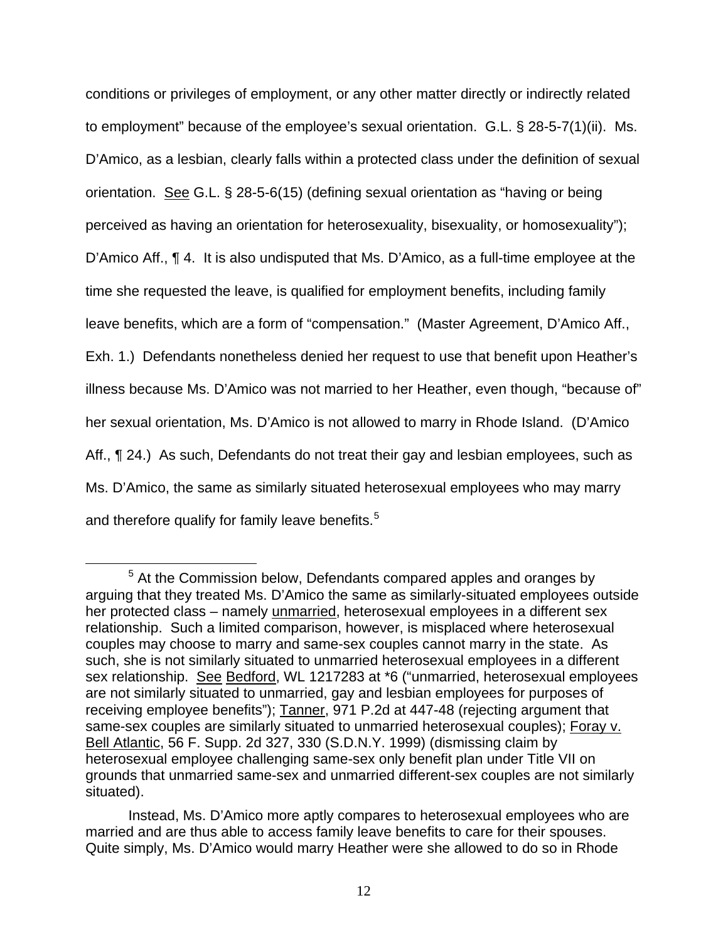conditions or privileges of employment, or any other matter directly or indirectly related to employment" because of the employee's sexual orientation. G.L. § 28-5-7(1)(ii). Ms. D'Amico, as a lesbian, clearly falls within a protected class under the definition of sexual orientation. See G.L. § 28-5-6(15) (defining sexual orientation as "having or being perceived as having an orientation for heterosexuality, bisexuality, or homosexuality"); D'Amico Aff., ¶ 4. It is also undisputed that Ms. D'Amico, as a full-time employee at the time she requested the leave, is qualified for employment benefits, including family leave benefits, which are a form of "compensation." (Master Agreement, D'Amico Aff., Exh. 1.) Defendants nonetheless denied her request to use that benefit upon Heather's illness because Ms. D'Amico was not married to her Heather, even though, "because of" her sexual orientation, Ms. D'Amico is not allowed to marry in Rhode Island. (D'Amico Aff.,  $\P$  24.) As such, Defendants do not treat their gay and lesbian employees, such as Ms. D'Amico, the same as similarly situated heterosexual employees who may marry and therefore qualify for family leave benefits.<sup>[5](#page-11-0)</sup>

<span id="page-11-0"></span> $\frac{1}{5}$  $5$  At the Commission below, Defendants compared apples and oranges by arguing that they treated Ms. D'Amico the same as similarly-situated employees outside her protected class – namely unmarried, heterosexual employees in a different sex relationship. Such a limited comparison, however, is misplaced where heterosexual couples may choose to marry and same-sex couples cannot marry in the state. As such, she is not similarly situated to unmarried heterosexual employees in a different sex relationship. See Bedford, WL 1217283 at \*6 ("unmarried, heterosexual employees are not similarly situated to unmarried, gay and lesbian employees for purposes of receiving employee benefits"); Tanner, 971 P.2d at 447-48 (rejecting argument that same-sex couples are similarly situated to unmarried heterosexual couples); Foray v. Bell Atlantic, 56 F. Supp. 2d 327, 330 (S.D.N.Y. 1999) (dismissing claim by heterosexual employee challenging same-sex only benefit plan under Title VII on grounds that unmarried same-sex and unmarried different-sex couples are not similarly situated).

Instead, Ms. D'Amico more aptly compares to heterosexual employees who are married and are thus able to access family leave benefits to care for their spouses. Quite simply, Ms. D'Amico would marry Heather were she allowed to do so in Rhode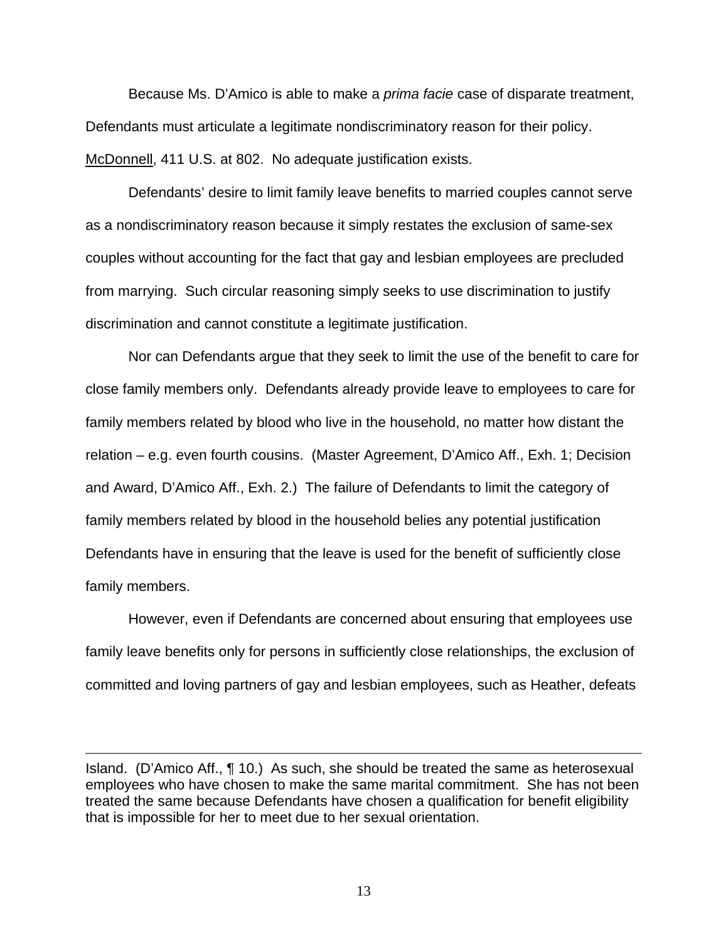Because Ms. D'Amico is able to make a *prima facie* case of disparate treatment, Defendants must articulate a legitimate nondiscriminatory reason for their policy. McDonnell, 411 U.S. at 802. No adequate justification exists.

Defendants' desire to limit family leave benefits to married couples cannot serve as a nondiscriminatory reason because it simply restates the exclusion of same-sex couples without accounting for the fact that gay and lesbian employees are precluded from marrying. Such circular reasoning simply seeks to use discrimination to justify discrimination and cannot constitute a legitimate justification.

Nor can Defendants argue that they seek to limit the use of the benefit to care for close family members only. Defendants already provide leave to employees to care for family members related by blood who live in the household, no matter how distant the relation – e.g. even fourth cousins. (Master Agreement, D'Amico Aff., Exh. 1; Decision and Award, D'Amico Aff., Exh. 2.) The failure of Defendants to limit the category of family members related by blood in the household belies any potential justification Defendants have in ensuring that the leave is used for the benefit of sufficiently close family members.

However, even if Defendants are concerned about ensuring that employees use family leave benefits only for persons in sufficiently close relationships, the exclusion of committed and loving partners of gay and lesbian employees, such as Heather, defeats

 $\overline{a}$ 

Island. (D'Amico Aff., ¶ 10.) As such, she should be treated the same as heterosexual employees who have chosen to make the same marital commitment. She has not been treated the same because Defendants have chosen a qualification for benefit eligibility that is impossible for her to meet due to her sexual orientation.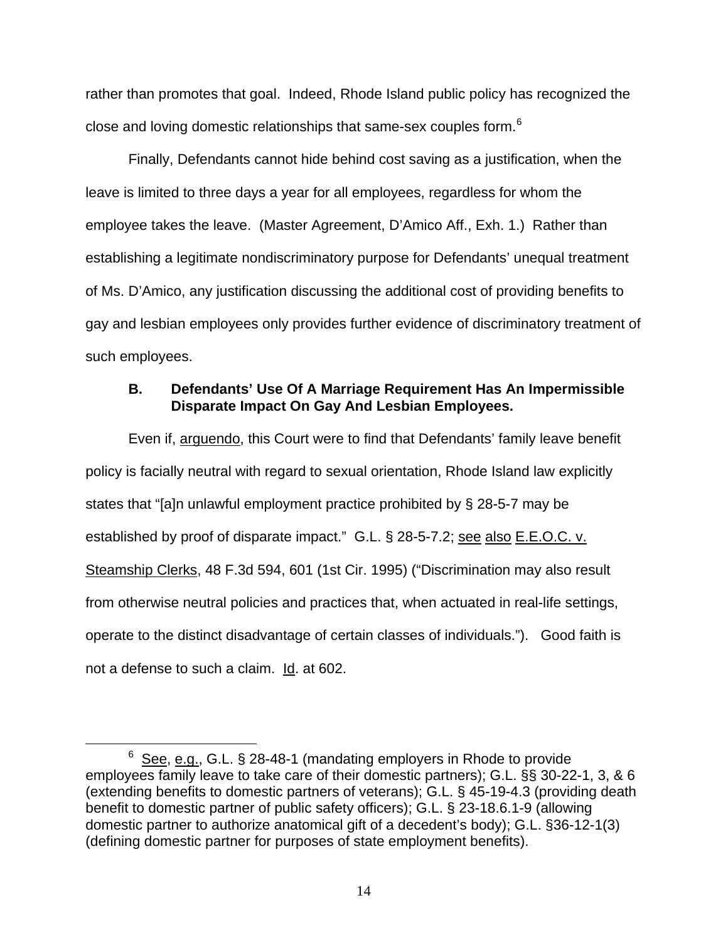rather than promotes that goal. Indeed, Rhode Island public policy has recognized the close and loving domestic relationships that same-sex couples form.<sup>[6](#page-13-0)</sup>

Finally, Defendants cannot hide behind cost saving as a justification, when the leave is limited to three days a year for all employees, regardless for whom the employee takes the leave. (Master Agreement, D'Amico Aff., Exh. 1.) Rather than establishing a legitimate nondiscriminatory purpose for Defendants' unequal treatment of Ms. D'Amico, any justification discussing the additional cost of providing benefits to gay and lesbian employees only provides further evidence of discriminatory treatment of such employees.

## **B. Defendants' Use Of A Marriage Requirement Has An Impermissible Disparate Impact On Gay And Lesbian Employees.**

Even if, arguendo, this Court were to find that Defendants' family leave benefit policy is facially neutral with regard to sexual orientation, Rhode Island law explicitly states that "[a]n unlawful employment practice prohibited by § 28-5-7 may be established by proof of disparate impact." G.L. § 28-5-7.2; see also E.E.O.C. v. Steamship Clerks, 48 F.3d 594, 601 (1st Cir. 1995) ("Discrimination may also result from otherwise neutral policies and practices that, when actuated in real-life settings, operate to the distinct disadvantage of certain classes of individuals."). Good faith is not a defense to such a claim. Id. at 602.

<span id="page-13-0"></span> $\overline{6}$  $6$  See, e.g., G.L. § 28-48-1 (mandating employers in Rhode to provide employees family leave to take care of their domestic partners); G.L. §§ 30-22-1, 3, & 6 (extending benefits to domestic partners of veterans); G.L. § 45-19-4.3 (providing death benefit to domestic partner of public safety officers); G.L. § 23-18.6.1-9 (allowing domestic partner to authorize anatomical gift of a decedent's body); G.L. §36-12-1(3) (defining domestic partner for purposes of state employment benefits).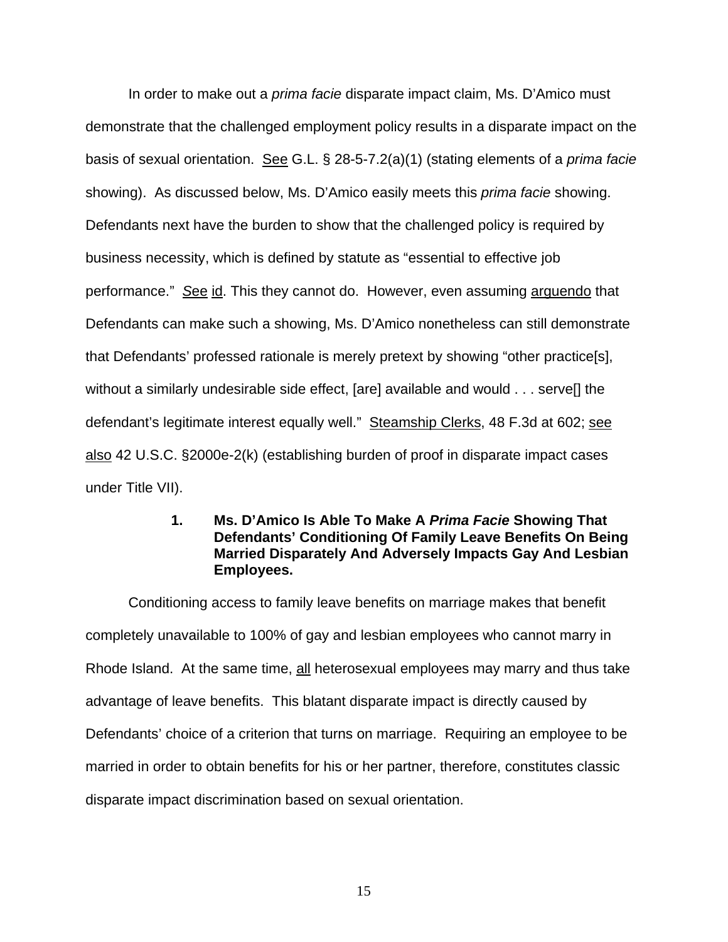In order to make out a *prima facie* disparate impact claim, Ms. D'Amico must demonstrate that the challenged employment policy results in a disparate impact on the basis of sexual orientation. See G.L. § 28-5-7.2(a)(1) (stating elements of a *prima facie* showing). As discussed below, Ms. D'Amico easily meets this *prima facie* showing. Defendants next have the burden to show that the challenged policy is required by business necessity, which is defined by statute as "essential to effective job performance." *S*ee id. This they cannot do. However, even assuming arguendo that Defendants can make such a showing, Ms. D'Amico nonetheless can still demonstrate that Defendants' professed rationale is merely pretext by showing "other practice[s], without a similarly undesirable side effect, [are] available and would . . . serve[] the defendant's legitimate interest equally well." Steamship Clerks, 48 F.3d at 602; see also 42 U.S.C. §2000e-2(k) (establishing burden of proof in disparate impact cases under Title VII).

## **1. Ms. D'Amico Is Able To Make A** *Prima Facie* **Showing That Defendants' Conditioning Of Family Leave Benefits On Being Married Disparately And Adversely Impacts Gay And Lesbian Employees.**

Conditioning access to family leave benefits on marriage makes that benefit completely unavailable to 100% of gay and lesbian employees who cannot marry in Rhode Island. At the same time, all heterosexual employees may marry and thus take advantage of leave benefits. This blatant disparate impact is directly caused by Defendants' choice of a criterion that turns on marriage. Requiring an employee to be married in order to obtain benefits for his or her partner, therefore, constitutes classic disparate impact discrimination based on sexual orientation.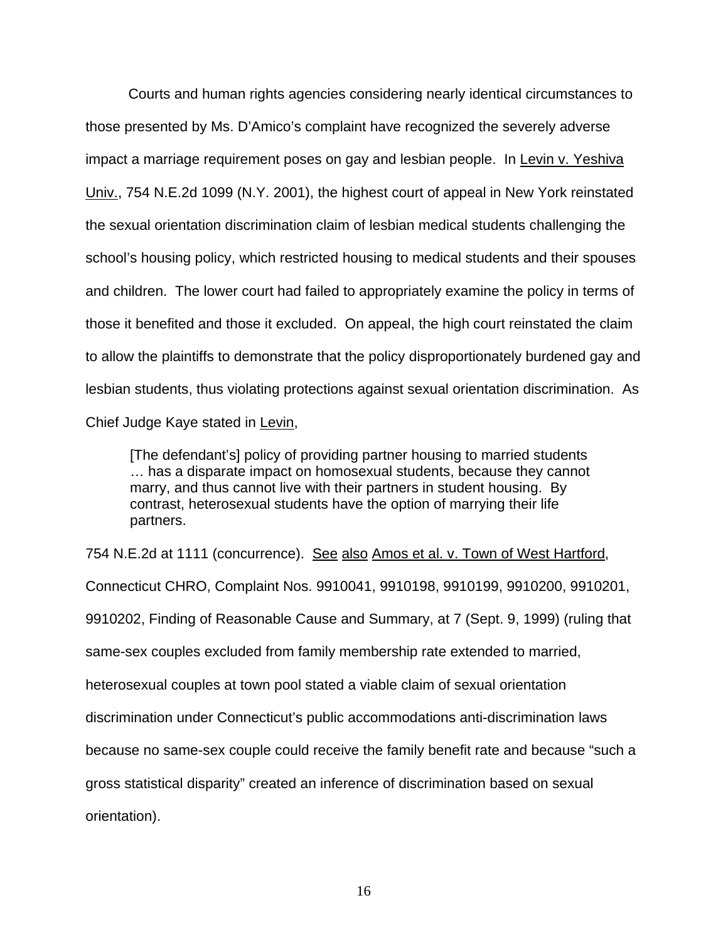Courts and human rights agencies considering nearly identical circumstances to those presented by Ms. D'Amico's complaint have recognized the severely adverse impact a marriage requirement poses on gay and lesbian people. In Levin v. Yeshiva Univ., 754 N.E.2d 1099 (N.Y. 2001), the highest court of appeal in New York reinstated the sexual orientation discrimination claim of lesbian medical students challenging the school's housing policy, which restricted housing to medical students and their spouses and children. The lower court had failed to appropriately examine the policy in terms of those it benefited and those it excluded. On appeal, the high court reinstated the claim to allow the plaintiffs to demonstrate that the policy disproportionately burdened gay and lesbian students, thus violating protections against sexual orientation discrimination. As Chief Judge Kaye stated in Levin,

[The defendant's] policy of providing partner housing to married students … has a disparate impact on homosexual students, because they cannot marry, and thus cannot live with their partners in student housing. By contrast, heterosexual students have the option of marrying their life partners.

754 N.E. 2d at 1111 (concurrence). See also Amos et al. v. Town of West Hartford, Connecticut CHRO, Complaint Nos. 9910041, 9910198, 9910199, 9910200, 9910201, 9910202, Finding of Reasonable Cause and Summary, at 7 (Sept. 9, 1999) (ruling that same-sex couples excluded from family membership rate extended to married, heterosexual couples at town pool stated a viable claim of sexual orientation discrimination under Connecticut's public accommodations anti-discrimination laws because no same-sex couple could receive the family benefit rate and because "such a gross statistical disparity" created an inference of discrimination based on sexual orientation).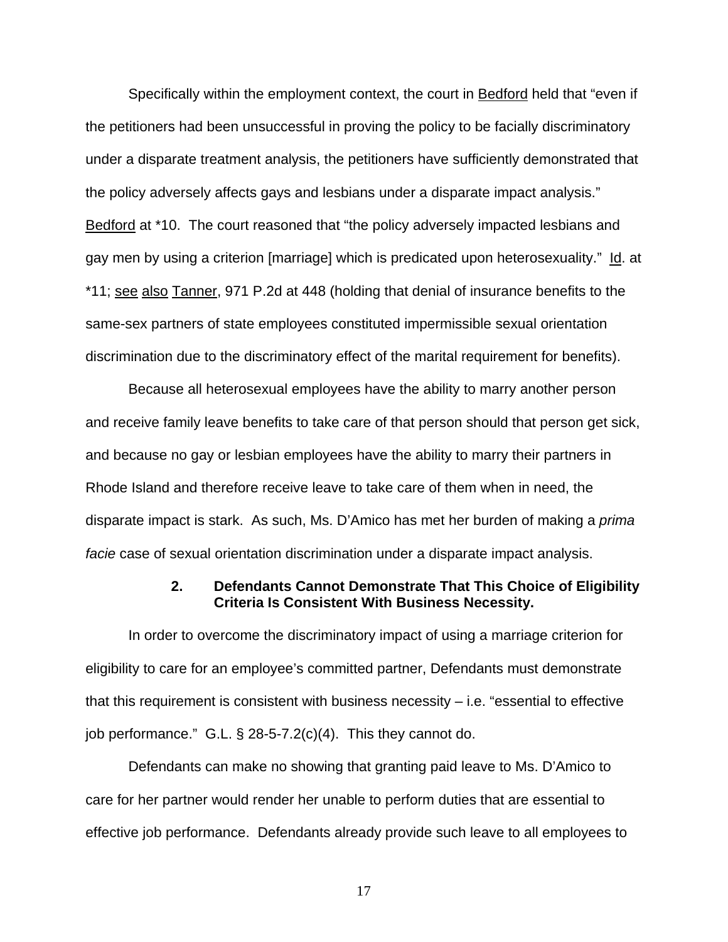Specifically within the employment context, the court in Bedford held that "even if the petitioners had been unsuccessful in proving the policy to be facially discriminatory under a disparate treatment analysis, the petitioners have sufficiently demonstrated that the policy adversely affects gays and lesbians under a disparate impact analysis." Bedford at \*10. The court reasoned that "the policy adversely impacted lesbians and gay men by using a criterion [marriage] which is predicated upon heterosexuality." Id. at \*11; see also Tanner, 971 P.2d at 448 (holding that denial of insurance benefits to the same-sex partners of state employees constituted impermissible sexual orientation discrimination due to the discriminatory effect of the marital requirement for benefits).

 Because all heterosexual employees have the ability to marry another person and receive family leave benefits to take care of that person should that person get sick, and because no gay or lesbian employees have the ability to marry their partners in Rhode Island and therefore receive leave to take care of them when in need, the disparate impact is stark. As such, Ms. D'Amico has met her burden of making a *prima facie* case of sexual orientation discrimination under a disparate impact analysis.

### **2. Defendants Cannot Demonstrate That This Choice of Eligibility Criteria Is Consistent With Business Necessity.**

In order to overcome the discriminatory impact of using a marriage criterion for eligibility to care for an employee's committed partner, Defendants must demonstrate that this requirement is consistent with business necessity – i.e. "essential to effective job performance." G.L. § 28-5-7.2(c)(4). This they cannot do.

Defendants can make no showing that granting paid leave to Ms. D'Amico to care for her partner would render her unable to perform duties that are essential to effective job performance. Defendants already provide such leave to all employees to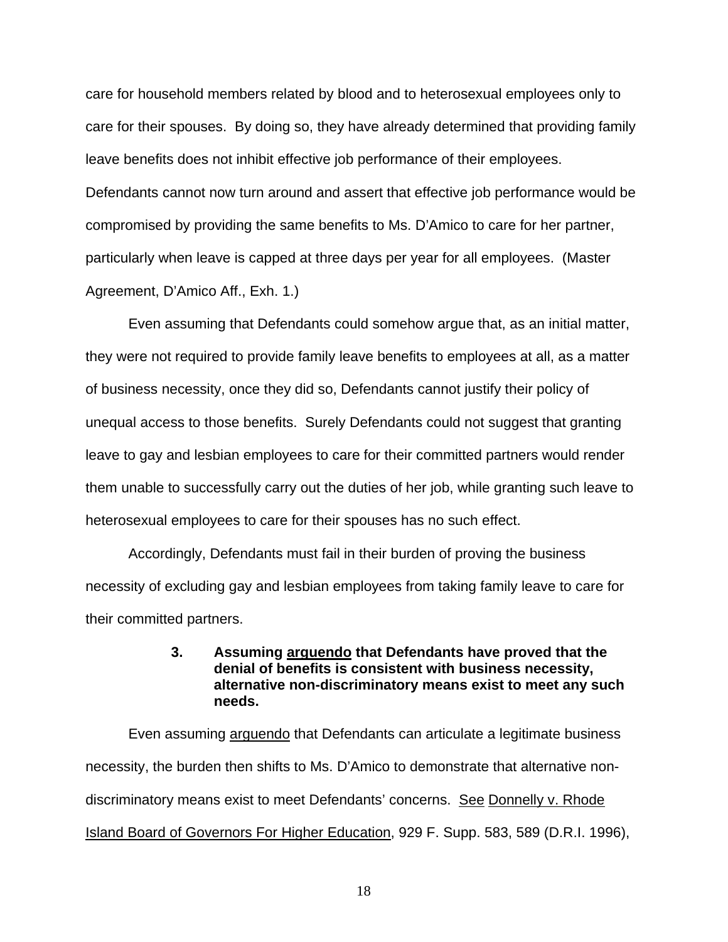care for household members related by blood and to heterosexual employees only to care for their spouses. By doing so, they have already determined that providing family leave benefits does not inhibit effective job performance of their employees. Defendants cannot now turn around and assert that effective job performance would be compromised by providing the same benefits to Ms. D'Amico to care for her partner, particularly when leave is capped at three days per year for all employees. (Master Agreement, D'Amico Aff., Exh. 1.)

Even assuming that Defendants could somehow argue that, as an initial matter, they were not required to provide family leave benefits to employees at all, as a matter of business necessity, once they did so, Defendants cannot justify their policy of unequal access to those benefits. Surely Defendants could not suggest that granting leave to gay and lesbian employees to care for their committed partners would render them unable to successfully carry out the duties of her job, while granting such leave to heterosexual employees to care for their spouses has no such effect.

Accordingly, Defendants must fail in their burden of proving the business necessity of excluding gay and lesbian employees from taking family leave to care for their committed partners.

## **3. Assuming arguendo that Defendants have proved that the denial of benefits is consistent with business necessity, alternative non-discriminatory means exist to meet any such needs.**

Even assuming arguendo that Defendants can articulate a legitimate business necessity, the burden then shifts to Ms. D'Amico to demonstrate that alternative nondiscriminatory means exist to meet Defendants' concerns. See Donnelly v. Rhode Island Board of Governors For Higher Education, 929 F. Supp. 583, 589 (D.R.I. 1996),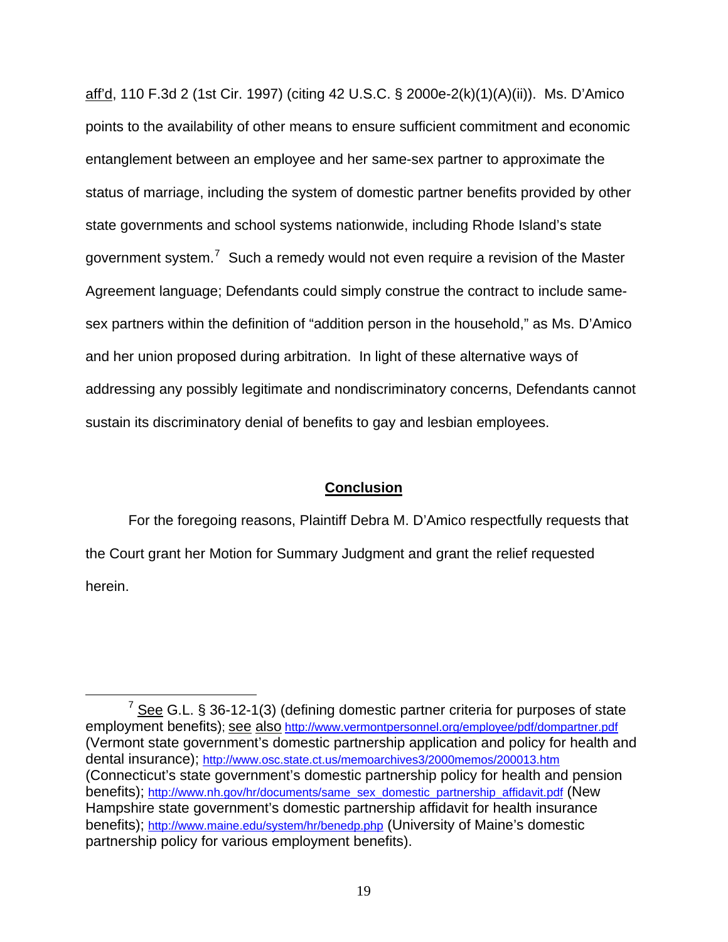aff'd, 110 F.3d 2 (1st Cir. 1997) (citing 42 U.S.C. § 2000e-2(k)(1)(A)(ii)). Ms. D'Amico points to the availability of other means to ensure sufficient commitment and economic entanglement between an employee and her same-sex partner to approximate the status of marriage, including the system of domestic partner benefits provided by other state governments and school systems nationwide, including Rhode Island's state government system.<sup>[7](#page-18-0)</sup> Such a remedy would not even require a revision of the Master Agreement language; Defendants could simply construe the contract to include samesex partners within the definition of "addition person in the household," as Ms. D'Amico and her union proposed during arbitration. In light of these alternative ways of addressing any possibly legitimate and nondiscriminatory concerns, Defendants cannot sustain its discriminatory denial of benefits to gay and lesbian employees.

### **Conclusion**

 For the foregoing reasons, Plaintiff Debra M. D'Amico respectfully requests that the Court grant her Motion for Summary Judgment and grant the relief requested herein.

<span id="page-18-0"></span> $\overline{7}$  $\frac{7}{2}$  See G.L. § 36-12-1(3) (defining domestic partner criteria for purposes of state employment benefits); see also <http://www.vermontpersonnel.org/employee/pdf/dompartner.pdf> (Vermont state government's domestic partnership application and policy for health and dental insurance); <http://www.osc.state.ct.us/memoarchives3/2000memos/200013.htm> (Connecticut's state government's domestic partnership policy for health and pension benefits); [http://www.nh.gov/hr/documents/same\\_sex\\_domestic\\_partnership\\_affidavit.pdf](http://www.nh.gov/hr/documents/same_sex_domestic_partnership_affidavit.pdf) (New Hampshire state government's domestic partnership affidavit for health insurance benefits); <http://www.maine.edu/system/hr/benedp.php>(University of Maine's domestic partnership policy for various employment benefits).